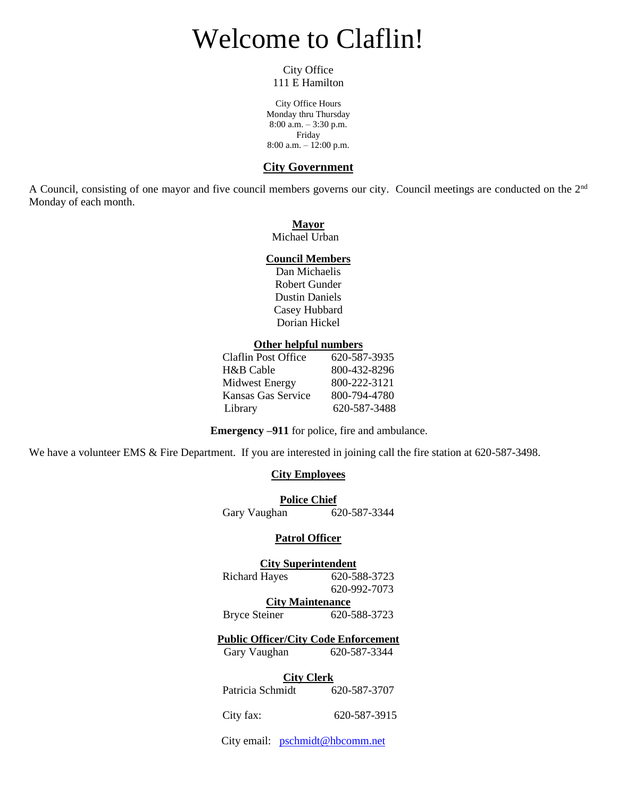# Welcome to Claflin!

City Office 111 E Hamilton

City Office Hours Monday thru Thursday 8:00 a.m. – 3:30 p.m. Friday 8:00 a.m. – 12:00 p.m.

#### **City Government**

A Council, consisting of one mayor and five council members governs our city. Council meetings are conducted on the 2<sup>nd</sup> Monday of each month.

#### **Mayor**

Michael Urban

#### **Council Members**

Dan Michaelis Robert Gunder Dustin Daniels Casey Hubbard Dorian Hickel

#### **Other helpful numbers**

| Claflin Post Office   | 620-587-3935 |
|-----------------------|--------------|
| H&B Cable             | 800-432-8296 |
| <b>Midwest Energy</b> | 800-222-3121 |
| Kansas Gas Service    | 800-794-4780 |
| Library               | 620-587-3488 |
|                       |              |

**Emergency –911** for police, fire and ambulance.

We have a volunteer EMS & Fire Department. If you are interested in joining call the fire station at 620-587-3498.

#### **City Employees**

**Police Chief**<br>an 620-587-3344 Gary Vaughan

#### **Patrol Officer**

#### **City Superintendent**

Richard Hayes 620-588-3723 620-992-7073

**City Maintenance**

Bryce Steiner 620-588-3723

#### **Public Officer/City Code Enforcement**

Gary Vaughan 620-587-3344

#### **City Clerk**

Patricia Schmidt 620-587-3707

City fax: 620-587-3915

City email: [pschmidt@hbcomm.net](mailto:pschmidt@hbcomm.net)